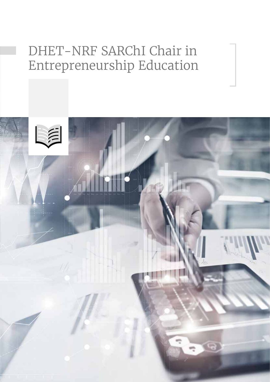## DHET-NRF SARChI Chair in Entrepreneurship Education